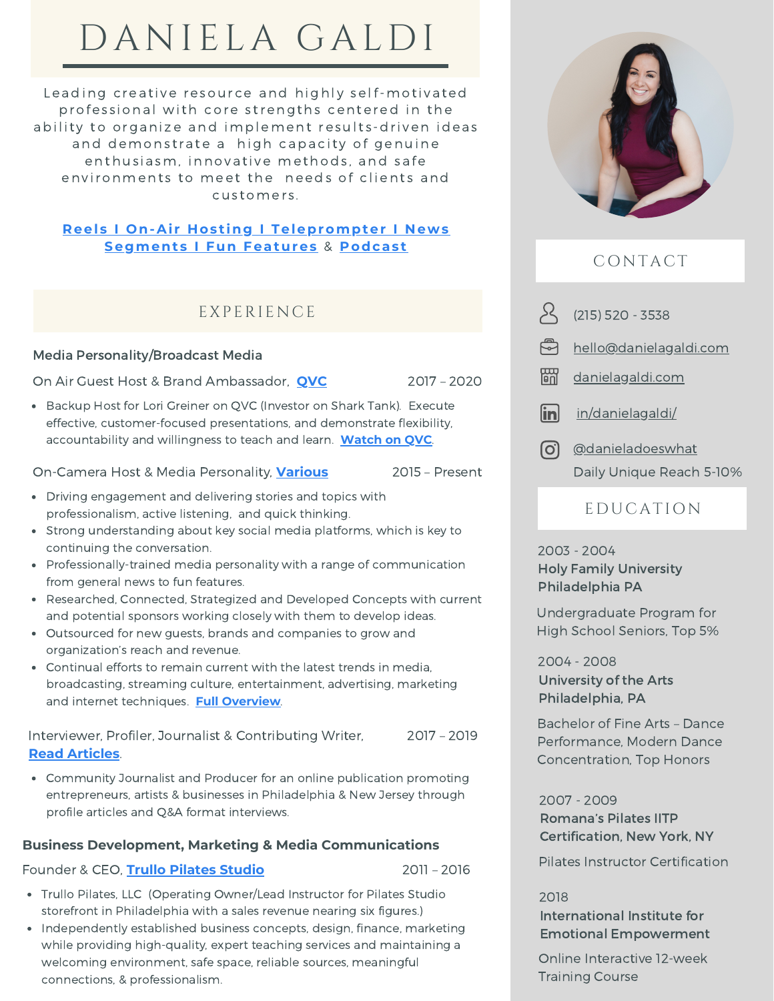# DANIELA GALDI

Leading creative resource and highly self-motivated professional with core strengths centered in the ability to organize and implement results-driven ideas and demonstrate a high capacity of genuine enthusiasm, innovative methods, and safe environments to meet the needs of clients and customers.

#### **Reel s I On-Ai r H os t ing I [Teleprompter](https://www.youtube.com/channel/UCglXOIJIkzjbFemaoz63MCg/playlists) I N ews Segment s I Fun Features** & **[Podcas](http://stillstandingtogether.com/podcast) t**

## EXPERIENCE

#### Media Personality/Broadcast Media

On Air Guest Host & Brand Ambassador, **[QVC](https://www.youtube.com/watch?v=umKS00Bbhvs&list=PLNf6qIq0vFYcSV7LsiliDMJ3da1Pw0z5-)**

Backup Host for Lori Greiner on QVC (Investor on Shark Tank). Execute effective, customer-focused presentations, and demonstrate flexibility, accountability and willingness to teach and learn. **[Watch](https://www.youtube.com/watch?v=umKS00Bbhvs&list=PLNf6qIq0vFYcSV7LsiliDMJ3da1Pw0z5-) on QVC**.

On-Camera Host & Media Personality, **[Various](https://www.danielagaldi.com/about)** 2015 – Present

- Driving engagement and delivering stories and topics with professionalism, active listening, and quick thinking.
- Strong understanding about key social media platforms, which is key to continuing the conversation.
- Professionally-trained media personality with a range of communication from general news to fun features.
- Researched, Connected, Strategized and Developed Concepts with current and potential sponsors working closely with them to develop ideas.
- Outsourced for new guests, brands and companies to grow and organization's reach and revenue.
- Continual efforts to remain current with the latest trends in media, broadcasting, streaming culture, entertainment, advertising, marketing and internet techniques. **Full [Overview](https://2395a876-7e36-4050-9ed9-5a089933e679.filesusr.com/ugd/baab45_3dec9378a36443c0bd7366b13f0df0a8.pdf)**.

Interviewer, Profiler, Journalist & Contributing Writer, **Read [Articles](https://www.danielagaldi.com/latest-publications)**. 2017 – 2019

Community Journalist and Producer for an online publication promoting entrepreneurs, artists & businesses in Philadelphia & New Jersey through profile articles and Q&A format interviews.

#### **Business Development, Marketing & Media Communications**

#### Founder & CEO, **Trullo [Pilates](http://instagram.com/trullopilates) Studio** 2011 – 2016

- Trullo Pilates, LLC (Operating Owner/Lead Instructor for Pilates Studio storefront in Philadelphia with a sales revenue nearing six figures.)
- Independently established business concepts, design, finance, marketing while providing high-quality, expert teaching services and maintaining a welcoming environment, safe space, reliable sources, meaningful connections, & professionalism.



# C ONTACT

(215) 520 - 3538 **[hello@danielagaldi.com](mailto:%20hello@danielagaldi.com)** 岡 [danielagaldi.com](http://danielagaldi.com/)

linl [in/danielagaldi/](https://www.linkedin.com/in/danielagaldi/)

ြငါ [@danieladoeswhat](http://instagram.com/danieladoeswhat) Daily Unique Reach 5-10%

# E D UCATI ON

Holy Family University Philadelphia PA 2003 - 2004

Undergraduate Program for High School Seniors, Top 5%

University of the Arts Philadelphia, PA 2004 - 2008

Bachelor of Fine Arts – Dance Performance, Modern Dance Concentration, Top Honors

Romana's Pilates IITP Certification, New York, NY 2007 - 2009

Pilates Instructor Certification

International Institute for Emotional Empowerment 2018

Online Interactive 12-week Training Course

2017 – 2020